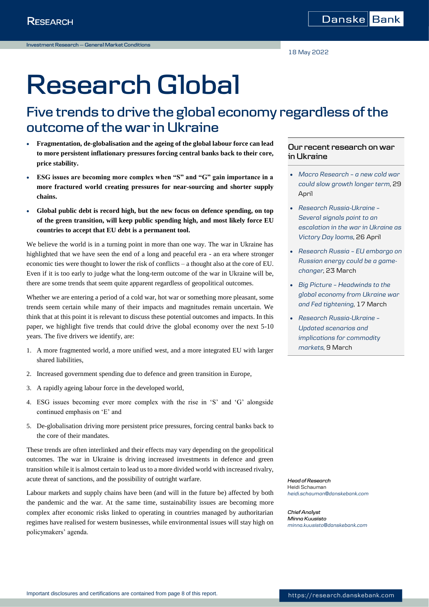# **Research Global**

## **Five trends to drive the global economy regardless of the outcome of the war in Ukraine**

- **Fragmentation, de-globalisation and the ageing of the global labour force can lead to more persistent inflationary pressures forcing central banks back to their core, price stability.**
- **ESG issues are becoming more complex when "S" and "G" gain importance in a more fractured world creating pressures for near-sourcing and shorter supply chains.**
- **Global public debt is record high, but the new focus on defence spending, on top of the green transition, will keep public spending high, and most likely force EU countries to accept that EU debt is a permanent tool.**

We believe the world is in a turning point in more than one way. The war in Ukraine has highlighted that we have seen the end of a long and peaceful era - an era where stronger economic ties were thought to lower the risk of conflicts – a thought also at the core of EU. Even if it is too early to judge what the long-term outcome of the war in Ukraine will be, there are some trends that seem quite apparent regardless of geopolitical outcomes.

Whether we are entering a period of a cold war, hot war or something more pleasant, some trends seem certain while many of their impacts and magnitudes remain uncertain. We think that at this point it is relevant to discuss these potential outcomes and impacts. In this paper, we highlight five trends that could drive the global economy over the next 5-10 years. The five drivers we identify, are:

- 1. A more fragmented world, a more unified west, and a more integrated EU with larger shared liabilities,
- 2. Increased government spending due to defence and green transition in Europe,
- 3. A rapidly ageing labour force in the developed world,
- 4. ESG issues becoming ever more complex with the rise in 'S' and 'G' alongside continued emphasis on 'E' and
- 5. De-globalisation driving more persistent price pressures, forcing central banks back to the core of their mandates.

These trends are often interlinked and their effects may vary depending on the geopolitical outcomes. The war in Ukraine is driving increased investments in defence and green transition while it is almost certain to lead us to a more divided world with increased rivalry, acute threat of sanctions, and the possibility of outright warfare.

Labour markets and supply chains have been (and will in the future be) affected by both the pandemic and the war. At the same time, sustainability issues are becoming more complex after economic risks linked to operating in countries managed by authoritarian regimes have realised for western businesses, while environmental issues will stay high on policymakers' agenda.

## **Our recent research on war in Ukraine**

- *[Macro Research](https://research.danskebank.com/research/#/Research/article/12a792d5-eacb-4866-89a2-f652b51a4191/EN) – a new cold war [could slow growth longer term](https://research.danskebank.com/research/#/Research/article/12a792d5-eacb-4866-89a2-f652b51a4191/EN)*, 29 April
- *[Research Russia-Ukraine](https://research.danskebank.com/research/#/Research/article/0e1d9171-8f2c-47d0-9674-d9c6f483550c/EN) – [Several signals point to an](https://research.danskebank.com/research/#/Research/article/0e1d9171-8f2c-47d0-9674-d9c6f483550c/EN)  [escalation in the war in Ukraine as](https://research.danskebank.com/research/#/Research/article/0e1d9171-8f2c-47d0-9674-d9c6f483550c/EN)  [Victory Day looms](https://research.danskebank.com/research/#/Research/article/0e1d9171-8f2c-47d0-9674-d9c6f483550c/EN)*, 26 April
- *[Research Russia](https://research.danskebank.com/research/#/Research/article/386ca134-0659-4a7f-b565-ae02774dae22/EN) – EU embargo on [Russian energy could be a game](https://research.danskebank.com/research/#/Research/article/386ca134-0659-4a7f-b565-ae02774dae22/EN)[changer](https://research.danskebank.com/research/#/Research/article/386ca134-0659-4a7f-b565-ae02774dae22/EN)*, 23 March
- *Big Picture – [Headwinds to the](https://research.danskebank.com/research/#/Research/article/524e50da-ea2d-46c1-b581-25dbe190bef6/EN)  [global economy from Ukraine war](https://research.danskebank.com/research/#/Research/article/524e50da-ea2d-46c1-b581-25dbe190bef6/EN)  [and Fed tightening](https://research.danskebank.com/research/#/Research/article/524e50da-ea2d-46c1-b581-25dbe190bef6/EN)*, 17 March
- *[Research Russia-Ukraine](https://research.danskebank.com/research/#/Research/article/eeab0a1f-1933-4baf-b22d-bb1b794e7be9/EN) – [Updated scenarios and](https://research.danskebank.com/research/#/Research/article/eeab0a1f-1933-4baf-b22d-bb1b794e7be9/EN)  [implications for commodity](https://research.danskebank.com/research/#/Research/article/eeab0a1f-1933-4baf-b22d-bb1b794e7be9/EN)  [markets](https://research.danskebank.com/research/#/Research/article/eeab0a1f-1933-4baf-b22d-bb1b794e7be9/EN)*, 9 March

*Head of Research* Heidi Schauman *[heidi.schauman@danskebank.com](mailto:heidi.schauman@danskebank.com)*

*Chief Analyst Minna Kuusisto [minna.kuusisto@danskebank.com](mailto:minna.kuusisto@danskebank.com)*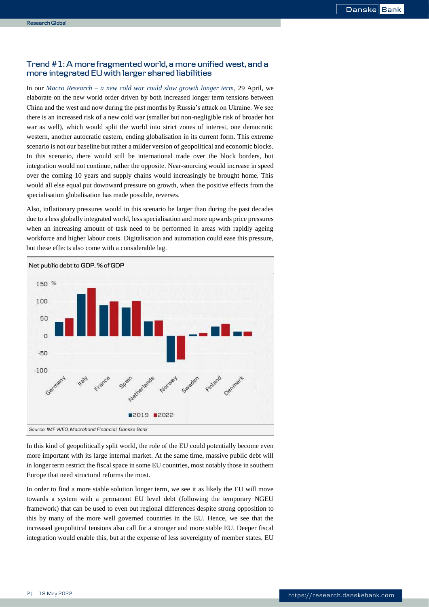## **Trend #1: A more fragmented world, a more unified west, and a more integrated EU with larger shared liabilities**

In our *Macro Research – [a new cold war could slow growth longer term](https://research.danskebank.com/research/#/Research/article/12a792d5-eacb-4866-89a2-f652b51a4191/EN)*, 29 April, we elaborate on the new world order driven by both increased longer term tensions between China and the west and now during the past months by Russia's attack on Ukraine. We see there is an increased risk of a new cold war (smaller but non-negligible risk of broader hot war as well), which would split the world into strict zones of interest, one democratic western, another autocratic eastern, ending globalisation in its current form. This extreme scenario is not our baseline but rather a milder version of geopolitical and economic blocks. In this scenario, there would still be international trade over the block borders, but integration would not continue, rather the opposite. Near-sourcing would increase in speed over the coming 10 years and supply chains would increasingly be brought home. This would all else equal put downward pressure on growth, when the positive effects from the specialisation globalisation has made possible, reverses.

Also, inflationary pressures would in this scenario be larger than during the past decades due to a less globally integrated world, less specialisation and more upwards price pressures when an increasing amount of task need to be performed in areas with rapidly ageing workforce and higher labour costs. Digitalisation and automation could ease this pressure, but these effects also come with a considerable lag.



In this kind of geopolitically split world, the role of the EU could potentially become even more important with its large internal market. At the same time, massive public debt will in longer term restrict the fiscal space in some EU countries, most notably those in southern Europe that need structural reforms the most.

In order to find a more stable solution longer term, we see it as likely the EU will move towards a system with a permanent EU level debt (following the temporary NGEU framework) that can be used to even out regional differences despite strong opposition to this by many of the more well governed countries in the EU. Hence, we see that the increased geopolitical tensions also call for a stronger and more stable EU. Deeper fiscal integration would enable this, but at the expense of less sovereignty of member states. EU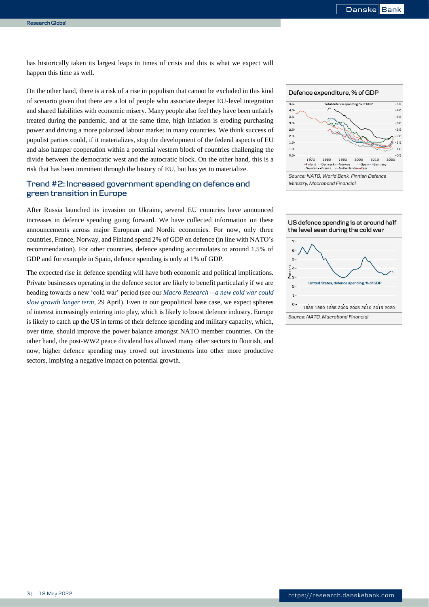has historically taken its largest leaps in times of crisis and this is what we expect will happen this time as well.

On the other hand, there is a risk of a rise in populism that cannot be excluded in this kind of scenario given that there are a lot of people who associate deeper EU-level integration and shared liabilities with economic misery. Many people also feel they have been unfairly treated during the pandemic, and at the same time, high inflation is eroding purchasing power and driving a more polarized labour market in many countries. We think success of populist parties could, if it materializes, stop the development of the federal aspects of EU and also hamper cooperation within a potential western block of countries challenging the divide between the democratic west and the autocratic block. On the other hand, this is a risk that has been imminent through the history of EU, but has yet to materialize.

## **Trend #2: Increased government spending on defence and green transition in Europe**

After Russia launched its invasion on Ukraine, several EU countries have announced increases in defence spending going forward. We have collected information on these announcements across major European and Nordic economies. For now, only three countries, France, Norway, and Finland spend 2% of GDP on defence (in line with NATO's recommendation). For other countries, defence spending accumulates to around 1.5% of GDP and for example in Spain, defence spending is only at 1% of GDP.

The expected rise in defence spending will have both economic and political implications. Private businesses operating in the defence sector are likely to benefit particularly if we are heading towards a new 'cold war' period (see our *Macro Research – [a new cold war could](https://research.danskebank.com/research/#/Research/article/12a792d5-eacb-4866-89a2-f652b51a4191/EN)  [slow growth longer term,](https://research.danskebank.com/research/#/Research/article/12a792d5-eacb-4866-89a2-f652b51a4191/EN)* 29 April). Even in our geopolitical base case, we expect spheres of interest increasingly entering into play, which is likely to boost defence industry. Europe is likely to catch up the US in terms of their defence spending and military capacity, which, over time, should improve the power balance amongst NATO member countries. On the other hand, the post-WW2 peace dividend has allowed many other sectors to flourish, and now, higher defence spending may crowd out investments into other more productive sectors, implying a negative impact on potential growth.





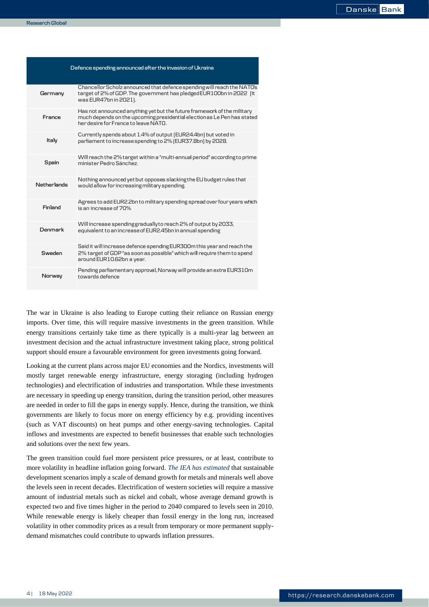| Defence spending announced after the invasion of Ukraine |                                                                                                                                                                                           |
|----------------------------------------------------------|-------------------------------------------------------------------------------------------------------------------------------------------------------------------------------------------|
| Germany                                                  | Chancellor Scholz announced that defence spending will reach the NATO's<br>target of 2% of GDP. The government has pledged EUR100bn in 2022 (It<br>was EUR47bn in 2021).                  |
| France                                                   | Has not announced anything yet but the future framework of the military<br>much depends on the upcoming presidential electionas Le Pen has stated<br>her desire for France to leave NATO. |
| Italy                                                    | Currently spends about 1.4% of output (EUR24.4bn) but voted in<br>parliament to increase spending to 2% [EUR37.8bn] by 2028.                                                              |
| Spain                                                    | Will reach the 2% target within a "multi-annual period" according to prime<br>minister Pedro Sánchez.                                                                                     |
| <b>Netherlands</b>                                       | Nothing announced yet but opposes slacking the EU budget rules that<br>would allow for increasing military spending.                                                                      |
| Finland                                                  | Agrees to add EUR2.2bn to military spending spread over four years which<br>is an increase of 70%                                                                                         |
| Denmark                                                  | Will increase spending gradually to reach 2% of output by 2033,<br>equivalent to an increase of EUR2.45bn in annual spending                                                              |
| Sweden                                                   | Said it will increase defence spending EUR300m this year and reach the<br>2% target of GDP "as soon as possible" which will require them to spend<br>around EUR10.62bn a year.            |
| Norway                                                   | Pending parliamentary approval, Norway will provide an extra EUR310m<br>towards defence                                                                                                   |

The war in Ukraine is also leading to Europe cutting their reliance on Russian energy imports. Over time, this will require massive investments in the green transition. While energy transitions certainly take time as there typically is a multi-year lag between an investment decision and the actual infrastructure investment taking place, strong political support should ensure a favourable environment for green investments going forward.

Looking at the current plans across major EU economies and the Nordics, investments will mostly target renewable energy infrastructure, energy storaging (including hydrogen technologies) and electrification of industries and transportation. While these investments are necessary in speeding up energy transition, during the transition period, other measures are needed in order to fill the gaps in energy supply. Hence, during the transition, we think governments are likely to focus more on energy efficiency by e.g. providing incentives (such as VAT discounts) on heat pumps and other energy-saving technologies. Capital inflows and investments are expected to benefit businesses that enable such technologies and solutions over the next few years.

The green transition could fuel more persistent price pressures, or at least, contribute to more volatility in headline inflation going forward. *[The IEA has estimated](https://www.iea.org/reports/the-role-of-critical-minerals-in-clean-energy-transitions/reliable-supply-of-minerals#abstract)* that sustainable development scenarios imply a scale of demand growth for metals and minerals well above the levels seen in recent decades. Electrification of western societies will require a massive amount of industrial metals such as nickel and cobalt, whose average demand growth is expected two and five times higher in the period to 2040 compared to levels seen in 2010. While renewable energy is likely cheaper than fossil energy in the long run, increased volatility in other commodity prices as a result from temporary or more permanent supplydemand mismatches could contribute to upwards inflation pressures.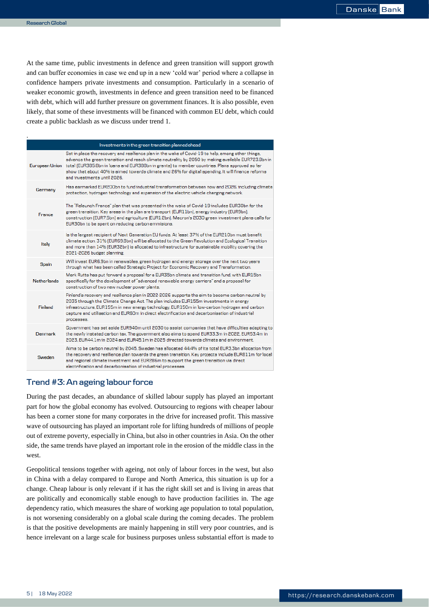.

At the same time, public investments in defence and green transition will support growth and can buffer economies in case we end up in a new 'cold war' period where a collapse in confidence hampers private investments and consumption. Particularly in a scenario of weaker economic growth, investments in defence and green transition need to be financed with debt, which will add further pressure on government finances. It is also possible, even likely, that some of these investments will be financed with common EU debt, which could create a public backlash as we discuss under trend 1.

| Investments in the green transition planned ahead |                                                                                                                                                                                                                                                                                                                                                                                                                                                 |  |
|---------------------------------------------------|-------------------------------------------------------------------------------------------------------------------------------------------------------------------------------------------------------------------------------------------------------------------------------------------------------------------------------------------------------------------------------------------------------------------------------------------------|--|
| European Union                                    | Set in place the recovery and resilience plan in the wake of Covid-19 to help, among other things,<br>advance the green transition and reach climate neutrality by 2050 by making available EUR723.8bn in<br>total (EUR385.8bn in loans and EUR388bn in grants) to member countries. Plans approved so far<br>show that about 40% is aimed towards climate and 26% for digital spending. It will finance reforms<br>and investments until 2026. |  |
| Germany                                           | Has earmarked EUR200bn to fund industrial transformation between now and 2026, including climate<br>protection, hydrogen technology and expansion of the electric vehicle charging network.                                                                                                                                                                                                                                                     |  |
| <b>France</b>                                     | The "Relaunch France" plan that was presented in the wake of Covid-19 includes EUR30bn for the<br>green transition. Key areas in the plan are transport (EUR11bn), energy industry (EUR9bn),<br>construction (EUR7.5bn) and agriculture (EUR1.2bn). Macron's 2030 green investment plans calls for<br>EUR30bn to be spent on reducing carbon emmisions.                                                                                         |  |
| Italy                                             | Is the largest recipient of Next Generation EU funds. At least 37% of the EUR210bn must benefit<br>climate action. 31% (EUR69.8bn) will be allocated to the Green Revolution and Ecological Transition<br>and more than 14% (EUR32bn) is allocated to infrastructure for sustainable mobility covering the<br>2021-2026 budget planning.                                                                                                        |  |
| Spain                                             | Will invest EUR6.9bn in renewables, green hydrogen and energy storage over the next two years<br>through what has been called Strategic Project for Economic Recovery and Transformation.                                                                                                                                                                                                                                                       |  |
| <b>Netherlands</b>                                | Mark Rutte has put forward a proposal for a EUR35bn climate and transition fund, with EUR15bn<br>specifically for the development of "advanced renewable energy carriers" and a proposal for<br>construction of two new nuclear power plants.                                                                                                                                                                                                   |  |
| Finland                                           | Finland's recovery and resilience plan in 2022-2026 supports the aim to become carbon neutral by<br>2035 through the Climate Change Act. The plan includes EUR155m investments in energy<br>infrastructure, EUR155m in new energy technology, EUR150m in low-carbon hydrogen and carbon<br>capture and utilisation and EUR60m in direct electrification and decarbonisation of industrial<br>processes.                                         |  |
| Denmark                                           | Government has set aside EUR940m until 2030 to assist companies that have difficulties adapting to<br>the newly instated carbon tax. The government also aims to spend EUR33.3m in 2022, EUR53.4m in<br>2023. EUR44.1m in 2024 and EUR45.1m in 2025 directed towards climate and environment.                                                                                                                                                   |  |
| Sweden                                            | Aims to be carbon neutral by 2045. Sweden has allocated 44.4% of its total EUR3.3bn allocation from<br>the recovery and resilience plan towards the green transition. Key projects include EUR811m for local<br>and regional climate investment and EUR286m to support the green transition via direct<br>electrification and decarbonisation of industrial processes.                                                                          |  |

## **Trend #3: An ageing labour force**

During the past decades, an abundance of skilled labour supply has played an important part for how the global economy has evolved. Outsourcing to regions with cheaper labour has been a corner stone for many corporates in the drive for increased profit. This massive wave of outsourcing has played an important role for lifting hundreds of millions of people out of extreme poverty, especially in China, but also in other countries in Asia. On the other side, the same trends have played an important role in the erosion of the middle class in the west.

Geopolitical tensions together with ageing, not only of labour forces in the west, but also in China with a delay compared to Europe and North America, this situation is up for a change. Cheap labour is only relevant if it has the right skill set and is living in areas that are politically and economically stable enough to have production facilities in. The age dependency ratio, which measures the share of working age population to total population, is not worsening considerably on a global scale during the coming decades. The problem is that the positive developments are mainly happening in still very poor countries, and is hence irrelevant on a large scale for business purposes unless substantial effort is made to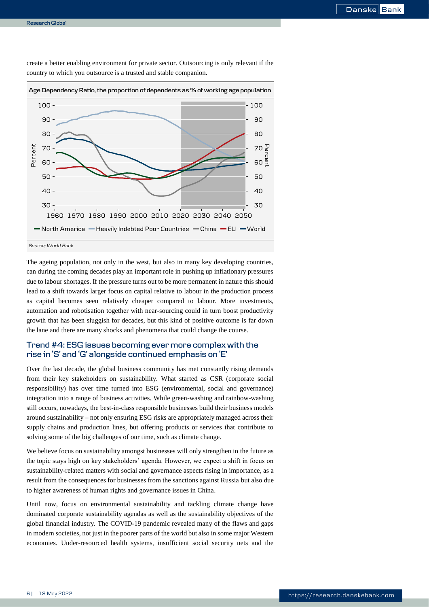

create a better enabling environment for private sector. Outsourcing is only relevant if the country to which you outsource is a trusted and stable companion.

## The ageing population, not only in the west, but also in many key developing countries, can during the coming decades play an important role in pushing up inflationary pressures due to labour shortages. If the pressure turns out to be more permanent in nature this should lead to a shift towards larger focus on capital relative to labour in the production process as capital becomes seen relatively cheaper compared to labour. More investments, automation and robotisation together with near-sourcing could in turn boost productivity growth that has been sluggish for decades, but this kind of positive outcome is far down the lane and there are many shocks and phenomena that could change the course.

## **Trend #4: ESG issues becoming ever more complex with the rise in 'S' and 'G' alongside continued emphasis on 'E'**

Over the last decade, the global business community has met constantly rising demands from their key stakeholders on sustainability. What started as CSR (corporate social responsibility) has over time turned into ESG (environmental, social and governance) integration into a range of business activities. While green-washing and rainbow-washing still occurs, nowadays, the best-in-class responsible businesses build their business models around sustainability – not only ensuring ESG risks are appropriately managed across their supply chains and production lines, but offering products or services that contribute to solving some of the big challenges of our time, such as climate change.

We believe focus on sustainability amongst businesses will only strengthen in the future as the topic stays high on key stakeholders' agenda. However, we expect a shift in focus on sustainability-related matters with social and governance aspects rising in importance, as a result from the consequences for businesses from the sanctions against Russia but also due to higher awareness of human rights and governance issues in China.

Until now, focus on environmental sustainability and tackling climate change have dominated corporate sustainability agendas as well as the sustainability objectives of the global financial industry. The COVID-19 pandemic revealed many of the flaws and gaps in modern societies, not just in the poorer parts of the world but also in some major Western economies. Under-resourced health systems, insufficient social security nets and the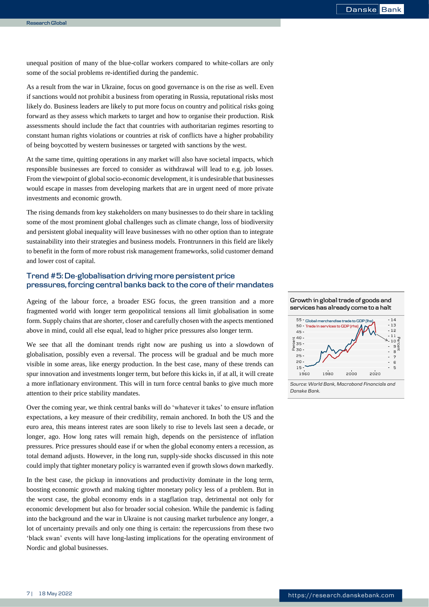unequal position of many of the blue-collar workers compared to white-collars are only some of the social problems re-identified during the pandemic.

As a result from the war in Ukraine, focus on good governance is on the rise as well. Even if sanctions would not prohibit a business from operating in Russia, reputational risks most likely do. Business leaders are likely to put more focus on country and political risks going forward as they assess which markets to target and how to organise their production. Risk assessments should include the fact that countries with authoritarian regimes resorting to constant human rights violations or countries at risk of conflicts have a higher probability of being boycotted by western businesses or targeted with sanctions by the west.

At the same time, quitting operations in any market will also have societal impacts, which responsible businesses are forced to consider as withdrawal will lead to e.g. job losses. From the viewpoint of global socio-economic development, it is undesirable that businesses would escape in masses from developing markets that are in urgent need of more private investments and economic growth.

The rising demands from key stakeholders on many businesses to do their share in tackling some of the most prominent global challenges such as climate change, loss of biodiversity and persistent global inequality will leave businesses with no other option than to integrate sustainability into their strategies and business models. Frontrunners in this field are likely to benefit in the form of more robust risk management frameworks, solid customer demand and lower cost of capital.

## **Trend #5: De-globalisation driving more persistent price pressures, forcing central banks back to the core of their mandates**

Ageing of the labour force, a broader ESG focus, the green transition and a more fragmented world with longer term geopolitical tensions all limit globalisation in some form. Supply chains that are shorter, closer and carefully chosen with the aspects mentioned above in mind, could all else equal, lead to higher price pressures also longer term.

We see that all the dominant trends right now are pushing us into a slowdown of globalisation, possibly even a reversal. The process will be gradual and be much more visible in some areas, like energy production. In the best case, many of these trends can spur innovation and investments longer term, but before this kicks in, if at all, it will create a more inflationary environment. This will in turn force central banks to give much more attention to their price stability mandates.

Over the coming year, we think central banks will do 'whatever it takes' to ensure inflation expectations, a key measure of their credibility, remain anchored. In both the US and the euro area, this means interest rates are soon likely to rise to levels last seen a decade, or longer, ago. How long rates will remain high, depends on the persistence of inflation pressures. Price pressures should ease if or when the global economy enters a recession, as total demand adjusts. However, in the long run, supply-side shocks discussed in this note could imply that tighter monetary policy is warranted even if growth slows down markedly.

In the best case, the pickup in innovations and productivity dominate in the long term, boosting economic growth and making tighter monetary policy less of a problem. But in the worst case, the global economy ends in a stagflation trap, detrimental not only for economic development but also for broader social cohesion. While the pandemic is fading into the background and the war in Ukraine is not causing market turbulence any longer, a lot of uncertainty prevails and only one thing is certain: the repercussions from these two 'black swan' events will have long-lasting implications for the operating environment of Nordic and global businesses.



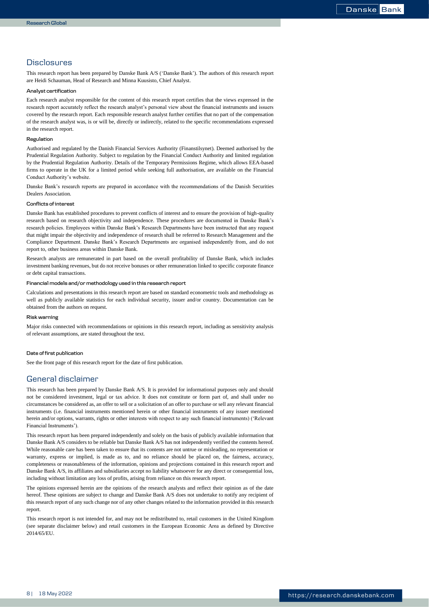## **Disclosures**

This research report has been prepared by Danske Bank A/S ('Danske Bank'). The authors of this research report are Heidi Schauman, Head of Research and Minna Kuusisto, Chief Analyst.

#### **Analyst certification**

Each research analyst responsible for the content of this research report certifies that the views expressed in the research report accurately reflect the research analyst's personal view about the financial instruments and issuers covered by the research report. Each responsible research analyst further certifies that no part of the compensation of the research analyst was, is or will be, directly or indirectly, related to the specific recommendations expressed in the research report.

#### **Regulation**

Authorised and regulated by the Danish Financial Services Authority (Finanstilsynet). Deemed authorised by the Prudential Regulation Authority. Subject to regulation by the Financial Conduct Authority and limited regulation by the Prudential Regulation Authority. Details of the Temporary Permissions Regime, which allows EEA-based firms to operate in the UK for a limited period while seeking full authorisation, are available on the Financial Conduct Authority's website.

Danske Bank's research reports are prepared in accordance with the recommendations of the Danish Securities Dealers Association.

#### **Conflicts of interest**

Danske Bank has established procedures to prevent conflicts of interest and to ensure the provision of high-quality research based on research objectivity and independence. These procedures are documented in Danske Bank's research policies. Employees within Danske Bank's Research Departments have been instructed that any request that might impair the objectivity and independence of research shall be referred to Research Management and the Compliance Department. Danske Bank's Research Departments are organised independently from, and do not report to, other business areas within Danske Bank.

Research analysts are remunerated in part based on the overall profitability of Danske Bank, which includes investment banking revenues, but do not receive bonuses or other remuneration linked to specific corporate finance or debt capital transactions.

#### **Financial models and/or methodology used in this research report**

Calculations and presentations in this research report are based on standard econometric tools and methodology as well as publicly available statistics for each individual security, issuer and/or country. Documentation can be obtained from the authors on request.

#### **Risk warning**

Major risks connected with recommendations or opinions in this research report, including as sensitivity analysis of relevant assumptions, are stated throughout the text.

#### **Date of first publication**

See the front page of this research report for the date of first publication.

## General disclaimer

This research has been prepared by Danske Bank A/S. It is provided for informational purposes only and should not be considered investment, legal or tax advice. It does not constitute or form part of, and shall under no circumstances be considered as, an offer to sell or a solicitation of an offer to purchase or sell any relevant financial instruments (i.e. financial instruments mentioned herein or other financial instruments of any issuer mentioned herein and/or options, warrants, rights or other interests with respect to any such financial instruments) ('Relevant Financial Instruments').

This research report has been prepared independently and solely on the basis of publicly available information that Danske Bank A/S considers to be reliable but Danske Bank A/S has not independently verified the contents hereof. While reasonable care has been taken to ensure that its contents are not untrue or misleading, no representation or warranty, express or implied, is made as to, and no reliance should be placed on, the fairness, accuracy, completeness or reasonableness of the information, opinions and projections contained in this research report and Danske Bank A/S, its affiliates and subsidiaries accept no liability whatsoever for any direct or consequential loss, including without limitation any loss of profits, arising from reliance on this research report.

The opinions expressed herein are the opinions of the research analysts and reflect their opinion as of the date hereof. These opinions are subject to change and Danske Bank A/S does not undertake to notify any recipient of this research report of any such change nor of any other changes related to the information provided in this research report.

This research report is not intended for, and may not be redistributed to, retail customers in the United Kingdom (see separate disclaimer below) and retail customers in the European Economic Area as defined by Directive 2014/65/EU.